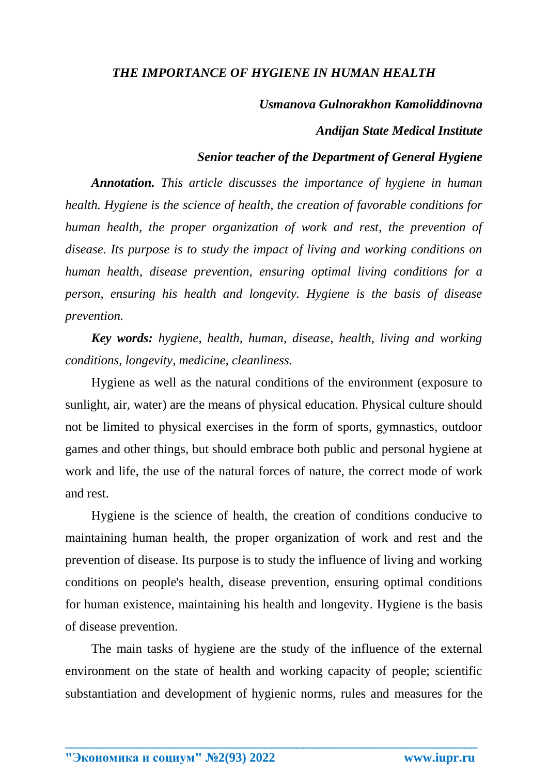# *THE IMPORTANCE OF HYGIENE IN HUMAN HEALTH*

### *Usmanova Gulnorakhon Kamoliddinovna*

### *Andijan State Medical Institute*

## *Senior teacher of the Department of General Hygiene*

*Annotation. This article discusses the importance of hygiene in human health. Hygiene is the science of health, the creation of favorable conditions for human health, the proper organization of work and rest, the prevention of disease. Its purpose is to study the impact of living and working conditions on human health, disease prevention, ensuring optimal living conditions for a person, ensuring his health and longevity. Hygiene is the basis of disease prevention.*

*Key words: hygiene, health, human, disease, health, living and working conditions, longevity, medicine, cleanliness.*

Hygiene as well as the natural conditions of the environment (exposure to sunlight, air, water) are the means of physical education. Physical culture should not be limited to physical exercises in the form of sports, gymnastics, outdoor games and other things, but should embrace both public and personal hygiene at work and life, the use of the natural forces of nature, the correct mode of work and rest.

Hygiene is the science of health, the creation of conditions conducive to maintaining human health, the proper organization of work and rest and the prevention of disease. Its purpose is to study the influence of living and working conditions on people's health, disease prevention, ensuring optimal conditions for human existence, maintaining his health and longevity. Hygiene is the basis of disease prevention.

The main tasks of hygiene are the study of the influence of the external environment on the state of health and working capacity of people; scientific substantiation and development of hygienic norms, rules and measures for the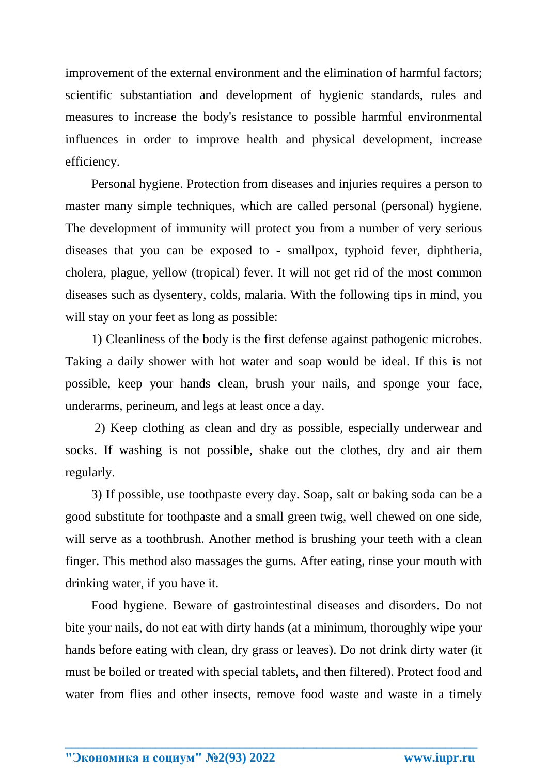improvement of the external environment and the elimination of harmful factors; scientific substantiation and development of hygienic standards, rules and measures to increase the body's resistance to possible harmful environmental influences in order to improve health and physical development, increase efficiency.

Personal hygiene. Protection from diseases and injuries requires a person to master many simple techniques, which are called personal (personal) hygiene. The development of immunity will protect you from a number of very serious diseases that you can be exposed to - smallpox, typhoid fever, diphtheria, cholera, plague, yellow (tropical) fever. It will not get rid of the most common diseases such as dysentery, colds, malaria. With the following tips in mind, you will stay on your feet as long as possible:

1) Cleanliness of the body is the first defense against pathogenic microbes. Taking a daily shower with hot water and soap would be ideal. If this is not possible, keep your hands clean, brush your nails, and sponge your face, underarms, perineum, and legs at least once a day.

2) Keep clothing as clean and dry as possible, especially underwear and socks. If washing is not possible, shake out the clothes, dry and air them regularly.

3) If possible, use toothpaste every day. Soap, salt or baking soda can be a good substitute for toothpaste and a small green twig, well chewed on one side, will serve as a toothbrush. Another method is brushing your teeth with a clean finger. This method also massages the gums. After eating, rinse your mouth with drinking water, if you have it.

Food hygiene. Beware of gastrointestinal diseases and disorders. Do not bite your nails, do not eat with dirty hands (at a minimum, thoroughly wipe your hands before eating with clean, dry grass or leaves). Do not drink dirty water (it must be boiled or treated with special tablets, and then filtered). Protect food and water from flies and other insects, remove food waste and waste in a timely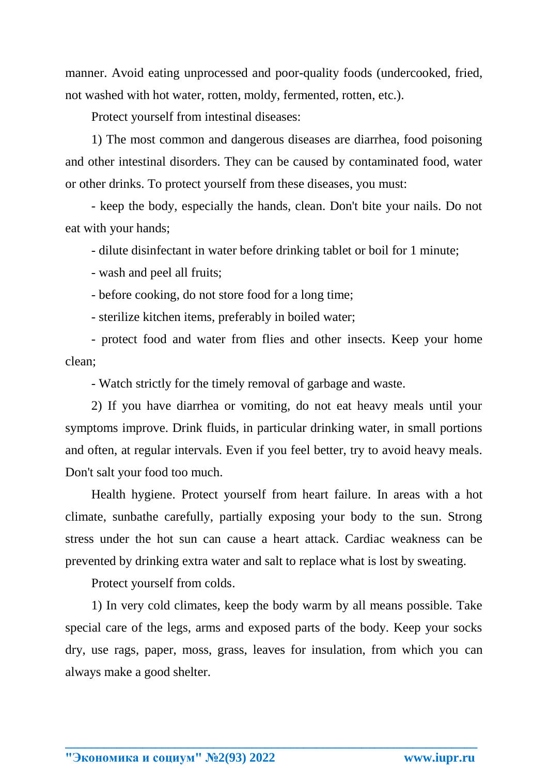manner. Avoid eating unprocessed and poor-quality foods (undercooked, fried, not washed with hot water, rotten, moldy, fermented, rotten, etc.).

Protect yourself from intestinal diseases:

1) The most common and dangerous diseases are diarrhea, food poisoning and other intestinal disorders. They can be caused by contaminated food, water or other drinks. To protect yourself from these diseases, you must:

- keep the body, especially the hands, clean. Don't bite your nails. Do not eat with your hands;

- dilute disinfectant in water before drinking tablet or boil for 1 minute;

- wash and peel all fruits;

- before cooking, do not store food for a long time;

- sterilize kitchen items, preferably in boiled water;

- protect food and water from flies and other insects. Keep your home clean;

- Watch strictly for the timely removal of garbage and waste.

2) If you have diarrhea or vomiting, do not eat heavy meals until your symptoms improve. Drink fluids, in particular drinking water, in small portions and often, at regular intervals. Even if you feel better, try to avoid heavy meals. Don't salt your food too much.

Health hygiene. Protect yourself from heart failure. In areas with a hot climate, sunbathe carefully, partially exposing your body to the sun. Strong stress under the hot sun can cause a heart attack. Cardiac weakness can be prevented by drinking extra water and salt to replace what is lost by sweating.

Protect yourself from colds.

1) In very cold climates, keep the body warm by all means possible. Take special care of the legs, arms and exposed parts of the body. Keep your socks dry, use rags, paper, moss, grass, leaves for insulation, from which you can always make a good shelter.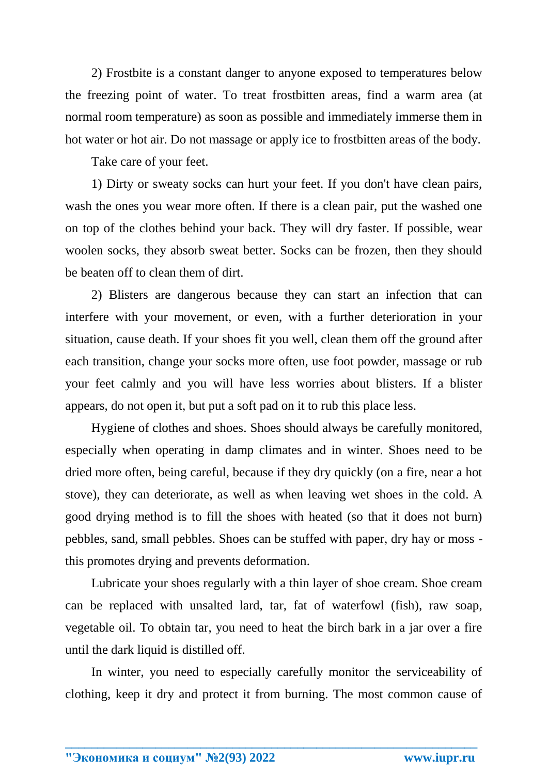2) Frostbite is a constant danger to anyone exposed to temperatures below the freezing point of water. To treat frostbitten areas, find a warm area (at normal room temperature) as soon as possible and immediately immerse them in hot water or hot air. Do not massage or apply ice to frostbitten areas of the body.

Take care of your feet.

1) Dirty or sweaty socks can hurt your feet. If you don't have clean pairs, wash the ones you wear more often. If there is a clean pair, put the washed one on top of the clothes behind your back. They will dry faster. If possible, wear woolen socks, they absorb sweat better. Socks can be frozen, then they should be beaten off to clean them of dirt.

2) Blisters are dangerous because they can start an infection that can interfere with your movement, or even, with a further deterioration in your situation, cause death. If your shoes fit you well, clean them off the ground after each transition, change your socks more often, use foot powder, massage or rub your feet calmly and you will have less worries about blisters. If a blister appears, do not open it, but put a soft pad on it to rub this place less.

Hygiene of clothes and shoes. Shoes should always be carefully monitored, especially when operating in damp climates and in winter. Shoes need to be dried more often, being careful, because if they dry quickly (on a fire, near a hot stove), they can deteriorate, as well as when leaving wet shoes in the cold. A good drying method is to fill the shoes with heated (so that it does not burn) pebbles, sand, small pebbles. Shoes can be stuffed with paper, dry hay or moss this promotes drying and prevents deformation.

Lubricate your shoes regularly with a thin layer of shoe cream. Shoe cream can be replaced with unsalted lard, tar, fat of waterfowl (fish), raw soap, vegetable oil. To obtain tar, you need to heat the birch bark in a jar over a fire until the dark liquid is distilled off.

In winter, you need to especially carefully monitor the serviceability of clothing, keep it dry and protect it from burning. The most common cause of